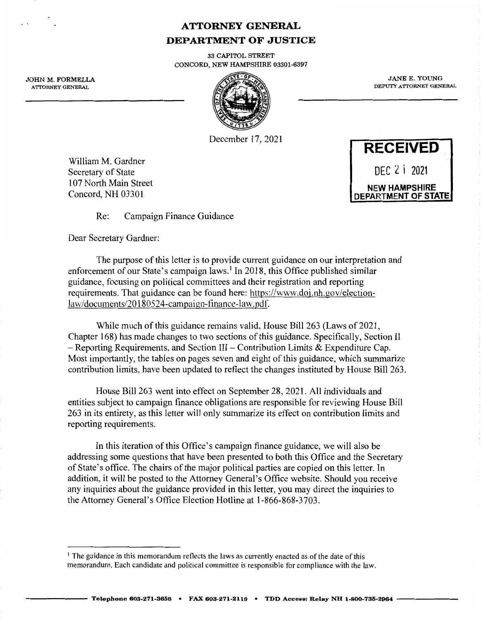# **ATTORNEY GENERAL DEPARTMENT OF JUSTICE**

33 CAPITOL STREET CONCORD, NEW HAMPSHIRE 03301-6397

JOHN M. FORMELLA ATTORNEY GENERAL



December 17, 2021

William M. Gardner Secretary of State 107 North Main Street Concord, NH 03301

**RECEIVED**  DEC t. 1 **<sup>2021</sup> NEW HAMPSHIRE DEPARTMENT OF STATE** 

JANE E. YOUNG DEPUTY ATTORNEY GENERAL

Re: Campaign Finance Guidance

Dear Secretary Gardner:

The purpose of this letter is to provide current guidance on our interpretation and enforcement of our State's campaign laws.<sup>1</sup> In 2018, this Office published similar guidance, focusing on political committees and their registration and reporting requirements. That guidance can be found here: https://www.doj.nh.gov/electionlaw/documents/20180524-campaign-finance-law.pdf.

While much of this guidance remains valid, House Bill 263 (Laws of 2021, Chapter 168) has made changes to two sections of this guidance. Specifically, Section II  $-$  Reporting Requirements, and Section III – Contribution Limits & Expenditure Cap. Most importantly, the tables on pages seven and eight of this guidance, which summarize contribution limits, have been updated to reflect the changes instituted by House Bill 263.

House Bill 263 went into effect on September 28, 2021. All individuals and entities subject to campaign finance obligations are responsible for reviewing House Bill 263 in its entirety, as this letter will only summarize its effect on contribution limits and reporting requirements.

In this iteration of this Office's campaign finance guidance, we will also be addressing some questions that have been presented to both this Office and the Secretary of State's office. The chairs of the major political parties are copied on this letter. In addition, it will be posted to the Attorney General's Office website. Should you receive any inquiries about the guidance provided in this letter, you may direct the inquiries to the Attorney General's Office Election Hotline at 1-866-868-3703.

<sup>&</sup>lt;sup>1</sup> The guidance in this memorandum reflects the laws as currently enacted as of the date of this memorandum. Each candidate and political committee is responsible for compliance with the law.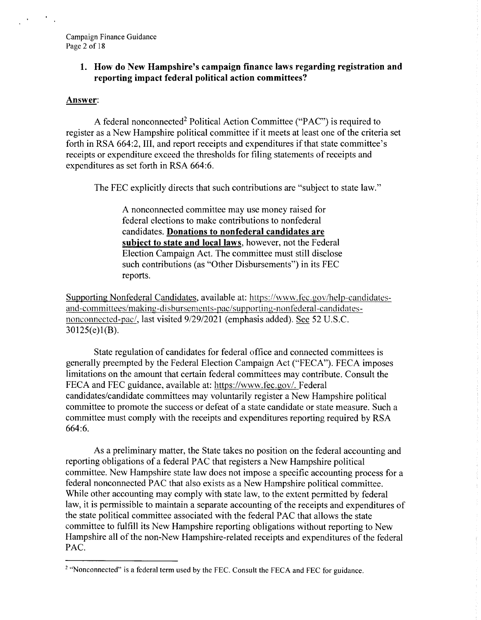## **1. How do New Hampshire's campaign finance laws regarding registration and reporting impact federal political action committees?**

### **Answer:**

A federal nonconnected<sup>2</sup> Political Action Committee ("PAC") is required to register as a New Hampshire political committee if it meets at least one of the criteria set forth in RSA 664:2, III, and report receipts and expenditures if that state committee's receipts or expenditure exceed the thresholds for filing statements of receipts and expenditures as set forth in RSA 664:6.

The FEC explicitly directs that such contributions are "subject to state law."

A nonconnected committee may use money raised for federal elections to make contributions to nonfederal candidates. **Donations to nonfederal candidates are subiect to state and local laws,** however, not the Federal Election Campaign Act. The committee must still disclose such contributions (as "Other Disbursements") in its FEC reports.

Supporting Nonfederal Candidates, available at: https://www.fec.gov/help-candidatesand-committees/making-disbursements-pac/supporting-nonfederal-candidatesnonconnected-pac/, last visited 9/29/2021 (emphasis added). See 52 U.S.C. 30125(e)l(B).

State regulation of candidates for federal office and connected committees is generally preempted by the Federal Election Campaign Act ("FECA"). FECA imposes limitations on the amount that certain federal committees may contribute. Consult the FECA and FEC guidance, available at: <https://www.fec.gov>/. Federal candidates/candidate committees may voluntarily register a New Hampshire political committee to promote the success or defeat of a state candidate or state measure. Such a committee must comply with the receipts and expenditures reporting required by RSA 664:6.

As a preliminary matter, the State takes no position on the federal accounting and reporting obligations of a federal PAC that registers a New Hampshire political committee. New Hampshire state law does not impose a specific accounting process for a federal nonconnected PAC that also exists as a New Hampshire political committee. While other accounting may comply with state law, to the extent permitted by federal law, it is permissible to maintain a separate accounting of the receipts and expenditures of the state political committee associated with the federal PAC that allows the state committee to fulfill its New Hampshire reporting obligations without reporting to New Hampshire all of the non-New Hampshire-related receipts and expenditures of the federal PAC.

<sup>&</sup>lt;sup>2</sup> "Nonconnected" is a federal term used by the FEC. Consult the FECA and FEC for guidance.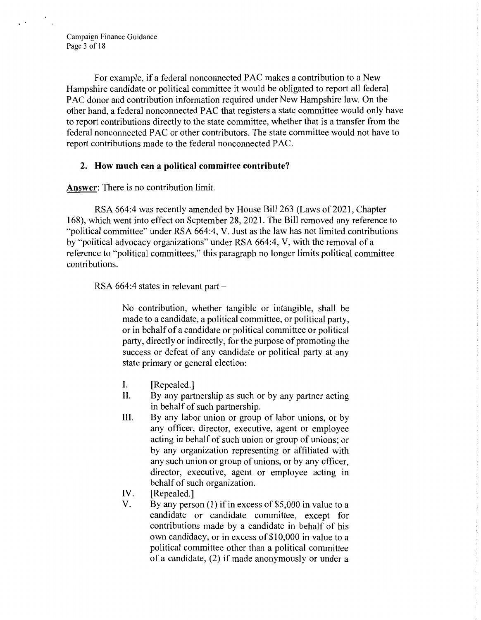Campaign Finance Guidance Page 3 of 18

For example, if a federal nonconnected PAC makes a contribution to a New Hampshire candidate or political committee it would be obligated to report all federal PAC donor and contribution information required under New Hampshire law. On the other hand, a federal nonconnected PAC that registers a state committee would only have to report contributions directly to the state committee, whether that is a transfer from the federal nonconnected PAC or other contributors. The state committee would not have to report contributions made to the federal nonconnected PAC.

### **2. How much can a political committee contribute?**

**Answer:** There is no contribution limit.

RSA 664:4 was recently amended by House Bill 263 (Laws of 2021, Chapter 168), which went into effect on September 28, 2021. The Bill removed any reference to "political committee" under RSA 664:4, V. Just as the law has not limited contributions by "political advocacy organizations" under RSA 664:4, V, with the removal of a reference to "political committees," this paragraph no longer limits political committee contributions.

RSA  $664:4$  states in relevant part  $-$ 

No contribution, whether tangible or intangible, shall be made to a candidate, a political committee, or political party, or in behalf of a candidate or political committee or political party, directly or indirectly, for the purpose of promoting the success or defeat of any candidate or political party at any state primary or general election:

- I. [Repealed.]
- II. By any partnership as such or by any partner acting in behalf of such partnership.
- III. By any labor union or group of labor unions, or by any officer, director, executive, agent or employee acting in behalf of such union or group of unions; or by any organization representing or affiliated with any such union or group of unions, or by any officer, director, executive, agent or employee acting in behalf of such organization.
- IV. [Repealed.]
- V. By any person (1) if in excess of \$5,000 in value to a candidate or candidate committee, except for contributions made by a candidate in behalf of his own candidacy, or in excess of \$10,000 in value to a political committee other than a political committee of a candidate, (2) if made anonymously or under a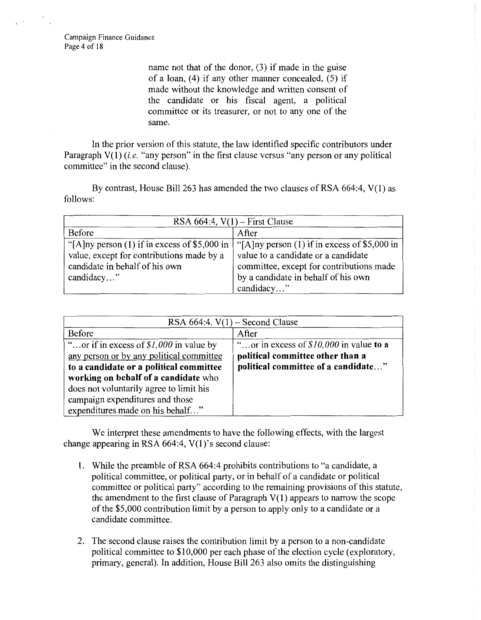Campaign Finance Guidance Page 4 of 18

> name not that of the donor, (3) if made in the guise of a loan,  $(4)$  if any other manner concealed,  $(5)$  if made without the knowledge and written consent of the candidate or his fiscal agent, a political committee or its treasurer, or not to any one of the same.

In the prior version of this statute, the law identified specific contributors under Paragraph V(1) *(i.e.* "any person" in the first clause versus "any person or any political committee" in the second clause).

By contrast, House Bill 263 has amended the two clauses of RSA 664:4, V(l) as follows:

| RSA $664:4$ , $V(1)$ – First Clause            |                                                 |  |  |  |
|------------------------------------------------|-------------------------------------------------|--|--|--|
| Before                                         | After                                           |  |  |  |
| "[A]ny person $(1)$ if in excess of \$5,000 in | "[A] ny person $(1)$ if in excess of \$5,000 in |  |  |  |
| value, except for contributions made by a      | value to a candidate or a candidate             |  |  |  |
| candidate in behalf of his own                 | committee, except for contributions made        |  |  |  |
| candidacy"                                     | by a candidate in behalf of his own             |  |  |  |
|                                                | candidacy"                                      |  |  |  |

| RSA $664:4$ , $V(1)$ – Second Clause                                                                                                                                                                                                                  |                                                                                                                     |  |  |  |
|-------------------------------------------------------------------------------------------------------------------------------------------------------------------------------------------------------------------------------------------------------|---------------------------------------------------------------------------------------------------------------------|--|--|--|
| Before                                                                                                                                                                                                                                                | After                                                                                                               |  |  |  |
| "or if in excess of $$1,000$ in value by<br>any person or by any political committee<br>to a candidate or a political committee<br>working on behalf of a candidate who<br>does not voluntarily agree to limit his<br>campaign expenditures and those | "or in excess of $$10,000$ in value to a<br>political committee other than a<br>political committee of a candidate" |  |  |  |
| expenditures made on his behalf"                                                                                                                                                                                                                      |                                                                                                                     |  |  |  |

We interpret these amendments to have the following effects, with the largest change appearing in RSA 664:4, V(l)'s second clause:

- 1. While the preamble of RSA 664:4 prohibits contributions to "a candidate, a political committee, or political party, or in behalf of a candidate or political committee or political party" according to the remaining provisions of this statute, the amendment to the first clause of Paragraph  $V(1)$  appears to narrow the scope of the \$5,000 contribution limit by a person to apply only to a candidate or a candidate committee.
- 2. The second clause raises the contribution limit by a person to a non-candidate political committee to \$10,000 per each phase of the election cycle (exploratory, primary, general). In addition, House Bill 263 also omits the distinguishing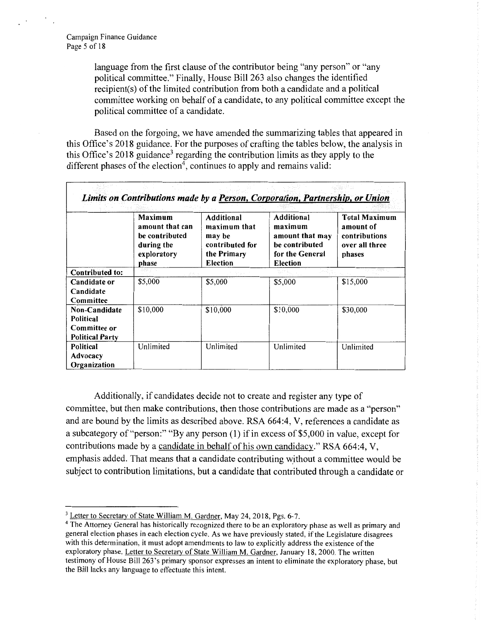language from the first clause of the contributor being "any person" or "any political committee." Finally, House Bill 263 also changes the identified recipient(s) of the limited contribution from both a candidate and a political committee working on behalf of a candidate, to any political committee except the political committee of a candidate.

Based on the forgoing, we have amended the summarizing tables that appeared in this Office's 2018 guidance. For the purposes of crafting the tables below, the analysis in this Office's 2018 guidance<sup>3</sup> regarding the contribution limits as they apply to the different phases of the election<sup>4</sup>, continues to apply and remains valid:

| Limits on Contributions made by a Person, Corporation, Partnership, or Union            |                                                                                           |                                                                                           |                                                                                           |                                                                                |  |  |
|-----------------------------------------------------------------------------------------|-------------------------------------------------------------------------------------------|-------------------------------------------------------------------------------------------|-------------------------------------------------------------------------------------------|--------------------------------------------------------------------------------|--|--|
|                                                                                         | <b>Maximum</b><br>amount that can<br>be contributed<br>during the<br>exploratory<br>phase | <b>Additional</b><br>maximum that<br>may be<br>contributed for<br>the Primary<br>Election | Additional<br>maximum<br>amount that may<br>be contributed<br>for the General<br>Election | <b>Total Maximum</b><br>amount of<br>contributions<br>over all three<br>phases |  |  |
| <b>Contributed to:</b>                                                                  |                                                                                           |                                                                                           |                                                                                           | massang a                                                                      |  |  |
| Candidate or<br>Candidate<br>Committee                                                  | \$5,000                                                                                   | \$5,000                                                                                   | \$5,000                                                                                   | \$15,000                                                                       |  |  |
| \$10,000<br>Non-Candidate<br><b>Political</b><br>Committee or<br><b>Political Party</b> |                                                                                           | \$10,000                                                                                  | \$10,000                                                                                  | \$30,000                                                                       |  |  |
| <b>Political</b><br>Advocacy<br>Organization                                            | Unlimited                                                                                 | Unlimited                                                                                 | Unlimited                                                                                 | Unlimited                                                                      |  |  |

Additionally, if candidates decide not to create and register any type of committee, but then make contributions, then those contributions are made as a "person" and are bound by the limits as described above. RSA 664:4, V, references a candidate as a subcategory of "person:" "By any person (1) if in excess of \$5,000 in value, except for contributions made by a candidate in behalf of his own candidacy." RSA 664:4, V, emphasis added. That means that a candidate contributing w:ithout a committee would be subject to contribution limitations, but a candidate that contributed through a candidate or

<sup>&</sup>lt;sup>3</sup> Letter to Secretary of State William M. Gardner, May 24, 2018, Pgs. 6-7.

<sup>4</sup>The Attorney General has historically recognized there to be an exploratory phase as well as primary and general election phases in each election cycle. As we have previously stated, if the Legislature disagrees with this determination, it must adopt amendments to law to explicitly address the existence of the exploratory phase. Letter to Secretary of State William M. Gardner, January I8, 2000. The written testimony of House Bill 263 's primary sponsor expresses an intent to eliminate the exploratory phase, but the Bill lacks any language to effectuate this intent.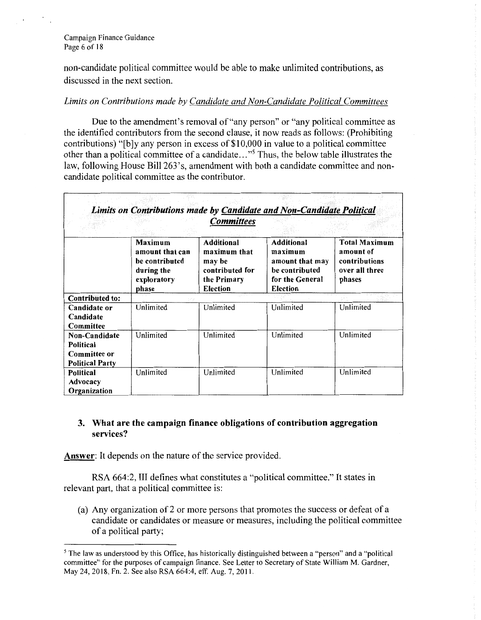#### Campaign Finance Guidance Page 6 of 18

non-candidate political committee would be able to make unlimited contributions, as discussed in the next section.

### *Limits on Contributions made by Candidate and Non-Candidate Political Committees*

Due to the amendment's removal of "any person" or "any political committee as the identified contributors from the second clause, it now reads as follows: (Prohibiting contributions) "[b ]y any person in excess of \$10,000 in value to a political committee other than a political committee of a candidate..."<sup>5</sup> Thus, the below table illustrates the law, following House Bill 263's, amendment with both a candidate committee and noncandidate political committee as the contributor.

|                                                                                    | Limits on Contributions made by Candidate and Non-Candidate Political                     | <b>Committees</b>                                                                                |                                                                                                         |                                                                                |
|------------------------------------------------------------------------------------|-------------------------------------------------------------------------------------------|--------------------------------------------------------------------------------------------------|---------------------------------------------------------------------------------------------------------|--------------------------------------------------------------------------------|
|                                                                                    | <b>Maximum</b><br>amount that can<br>be contributed<br>during the<br>exploratory<br>phase | <b>Additional</b><br>maximum that<br>may be<br>contributed for<br>the Primary<br><b>Election</b> | <b>Additional</b><br>maximum<br>amount that may<br>be contributed<br>for the General<br><b>Election</b> | <b>Total Maximum</b><br>amount of<br>contributions<br>over all three<br>phases |
| <b>Contributed to:</b>                                                             |                                                                                           |                                                                                                  |                                                                                                         |                                                                                |
| Candidate or<br>Candidate<br>Committee                                             | Unlimited                                                                                 | Unlimited                                                                                        | Unlimited                                                                                               | Unlimited                                                                      |
| <b>Non-Candidate</b><br><b>Political</b><br>Committee or<br><b>Political Party</b> | Unlimited                                                                                 | Unlimited                                                                                        | Unlimited                                                                                               | Unlimited                                                                      |
| <b>Political</b><br>Advocacy<br>Organization                                       | Unlimited                                                                                 | Unlimited                                                                                        | Unlimited                                                                                               | Unlimited                                                                      |

## **3. What are the campaign finance obligations of contribution aggregation services?**

**Answer:** It depends on the nature of the service provided.

RSA 664:2, III defines what constitutes a "political committee." It states in relevant part, that a political committee is:

(a) Any organization of2 or more persons that promotes the success or defeat of a candidate or candidates or measure or measures, including the political committee of a political party;

*<sup>5</sup>*The law as understood by this Office, has historically distinguished between a "person" and a "political committee" for the purposes of campaign finance. See Letter to Secretary of State William M. Gardner, May 24, 2018, Fn. 2. See also RSA 664:4, eff. Aug. 7, 2011.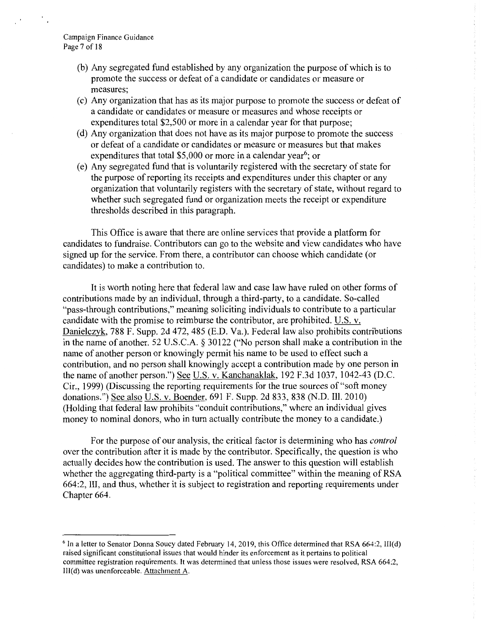- (b) Any segregated fund established by any organization the purpose of which is to promote the success or defeat of a candidate or candidates or measure or measures;
- (c) Any organization that has as its major purpose to promote the success or defeat of a candidate or candidates or measure or measures and whose receipts or expenditures total \$2,500 or more in a calendar year for that purpose;
- (d) Any organization that does not have as its major purpose to promote the success or defeat of a candidate or candidates or measure or measures but that makes expenditures that total \$5,000 or more in a calendar year<sup>6</sup>; or
- (e) Any segregated fund that is voluntarily registered with the secretary of state for the purpose of reporting its receipts and expenditures under this chapter or any organization that voluntarily registers with the secretary of state, without regard to whether such segregated fund or organization meets the receipt or expenditure thresholds described in this paragraph.

This Office is aware that there are online services that provide a platform for candidates to fundraise. Contributors can go to the website and view candidates who have signed up for the service. From there, a contributor can choose which candidate ( or candidates) to make a contribution to.

It is worth noting here that federal law and case law have ruled on other forms of contributions made by an individual, through a third-party, to a candidate. So-called "pass-through contributions," meaning soliciting individuals to contribute to a particular candidate with the promise to reimburse the contributor, are prohibited. U.S. v. Danielczyk, 788 F. Supp. 2d 472, 485 (E.D. Va.). Federal law also prohibits contributions in the name of another. 52 U.S.C.A. § 30122 ("No person shall make a contribution in the name of another person or knowingly permit his name to be used to effect such a contribution, and no person shall knowingly accept a contribution made by one person in the name of another person.") See U.S. v. Kanchanaklak, 192 F.3d 1037, 1042-43 (D.C. Cir., 1999) (Discussing the reporting requirements for the true sources of "soft money donations.") See also U.S. v. Boender, 691 F. Supp. 2d 833, 838 (N.D. Ill. 2010) (Holding that federal law prohibits "conduit contributions," where an individual gives money to nominal donors, who in tum actually contribute the money to a candidate.)

For the purpose of our analysis, the critical factor is determining who has *control*  over the contribution after it is made by the contributor. Specifically, the question is who actually decides how the contribution is used. The answer to this question will establish whether the aggregating third-party is a "political committee" within the meaning of RSA 664:2, III, and thus, whether it is subject to registration and reporting requirements under Chapter 664.

 $6$  In a letter to Senator Donna Soucy dated February 14, 2019, this Office determined that RSA 664:2, III(d) raised significant constitutional issues that would hinder its enforcement as it pertains to political committee registration requirements. It was determined that unless those issues were resolved, RSA 664:2, III(d) was unenforceable. Attachment A.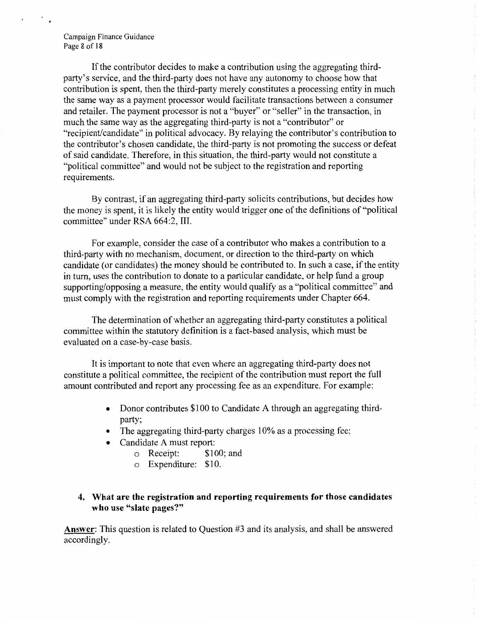#### Campaign Finance Guidance Page 8 of 18

If the contributor decides to make a contribution using the aggregating thirdparty's service, and the third-party does not have any autonomy to choose how that contribution is spent, then the third-party merely constitutes a processing entity in much the same way as a payment processor would facilitate transactions between a consumer and retailer. The payment processor is not a "buyer" or "seller" in the transaction, in much the same way as the aggregating third-party is not a "contributor" or "recipient/candidate" in political advocacy. By relaying the contributor's contribution to the contributor's chosen candidate, the third-party is not promoting the success or defeat of said candidate. Therefore, in this situation, the third-party would not constitute a "political committee" and would not be subject to the registration and reporting requirements.

By contrast, if an aggregating third-party solicits contributions, but decides how the money is spent, it is likely the entity would trigger one of the definitions of "political committee" under RSA 664:2, III.

For example, consider the case of a contributor who makes a contribution to a third-party with no mechanism, document, or direction to the third-party on which candidate (or candidates) the money should be contributed to. In such a case, if the entity in tum, uses the contribution to donate to a particular candidate, or help fund a group supporting/opposing a measure, the entity would qualify as a "political committee" and must comply with the registration and reporting requirements under Chapter 664.

The determination of whether an aggregating third-party constitutes a political committee within the statutory definition is a fact-based analysis, which must be evaluated on a case-by-case basis.

It is important to note that even where an aggregating third-party does not constitute a political committee, the recipient of the contribution must report the full amount contributed and report any processing fee as an expenditure. For example:

- Donor contributes \$100 to Candidate A through an aggregating thirdparty;
- The aggregating third-party charges 10% as a processing fee;
- Candidate A must report:
	- o Receipt: \$100; and
	- o Expenditure: \$10.

## **4. What are the registration and reporting requirements for those candidates who use "slate pages?"**

**Answer:** This question is related to Question #3 and its analysis, and shall be answered according!y.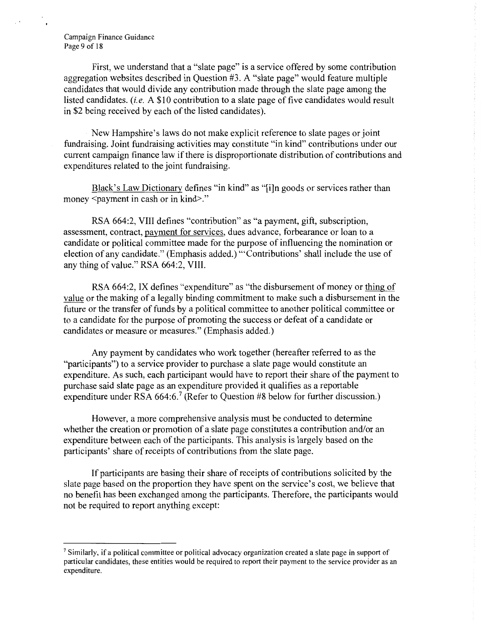#### Campaign Finance Guidance Page 9 of 18

First, we understand that a "slate page" is a service offered by some contribution aggregation websites described in Question #3. A "slate page" would feature multiple candidates that would divide any contribution made through the slate page among the listed candidates. *(i.e.* A \$IO contribution to a slate page of five candidates would result in \$2 being received by each of the listed candidates).

New Hampshire's laws do not make explicit reference to slate pages or joint fundraising. Joint fundraising activities may constitute "in kind" contributions under our current campaign finance law if there is disproportionate distribution of contributions and expenditures related to the joint fundraising.

Black's Law Dictionary defines "in kind" as "[i]n goods or services rather than money <payment in cash or in kind>."

RSA 664:2, VIII defines "contribution" as "a payment, gift, subscription, assessment, contract, payment for services, dues advance, forbearance or loan to a candidate or political committee made for the purpose of influencing the nomination or election of any candidate." (Emphasis added.) '"Contributions' shall include the use of any thing of value." RSA 664:2, VIII.

RSA 664:2, IX defines "expenditure" as "the disbursement of money or thing of value or the making of a legally binding commitment to make such a disbursement in the future or the transfer of funds by a political committee to another political committee or to a candidate for the purpose of promoting the success or defeat of a candidate or candidates or measure or measures." (Emphasis added.)

Any payment by candidates who work together (hereafter referred to as the "participants") to a service provider to purchase a slate page would constitute an expenditure. As such, each participant would have to report their share of the payment to purchase said slate page as an expenditure provided it qualifies as a reportable expenditure under RSA  $664:6$ .<sup>7</sup> (Refer to Question #8 below for further discussion.)

However, a more comprehensive analysis must be conducted to determine whether the creation or promotion of a slate page constitutes a contribution and/or an expenditure between each of the participants. This analysis is largely based on the participants' share of receipts of contributions from the slate page.

If participants are basing their share of receipts of contributions solicited by the slate page based on the proportion they have spent on the service's cost, we believe that no benefit has been exchanged among the participants. Therefore, the participants would not be required to report anything except:

<sup>7</sup>Similarly, if a political committee or political advocacy organization created a slate page in support of particular candidates, these entities would be required to report their payment to the service provider as an expenditure.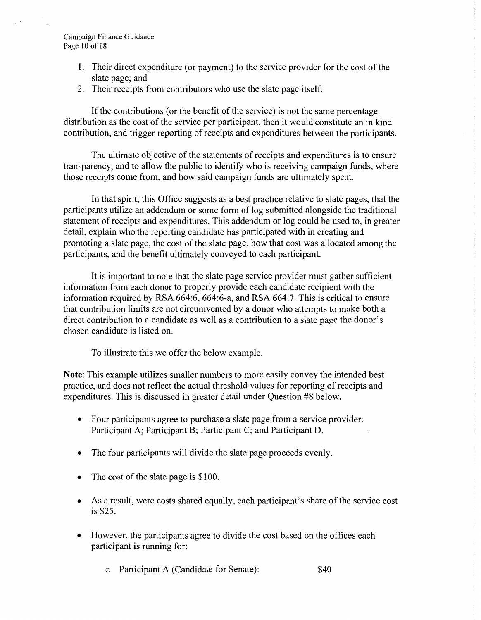#### Campaign Finance Guidance Page 10 of 18

- I. Their direct expenditure (or payment) to the service provider for the cost ofthe slate page; and
- 2. Their receipts from contributors who use the slate page itself.

If the contributions (or the benefit of the service) is not the same percentage distribution as the cost of the service per participant, then it would constitute an in kind contribution, and trigger reporting of receipts and expenditures between the participants.

The ultimate objective of the statements of receipts and expenditures is to ensure transparency, and to allow the public to identify who is receiving campaign funds, where those receipts come from, and how said campaign funds are ultimately spent.

In that spirit, this Office suggests as a best practice relative to slate pages, that the participants utilize an addendum or some form of log submitted alongside the traditional statement of receipts and expenditures. This addendum or log could be used to, in greater detail, explain who the reporting candidate has participated with in creating and promoting a slate page, the cost of the slate page, how that cost was allocated among the participants, and the benefit ultimately conveyed to each participant.

It is important to note that the slate page service provider must gather sufficient information from each donor to properly provide each candidate recipient with the information required by RSA 664:6, 664:6-a, and RSA 664:7. This is critical to ensure that contribution limits are not circumvented by a donor who attempts to make both a direct contribution to a candidate as well as a contribution to a slate page the donor's chosen candidate is listed on.

To illustrate this we offer the below example.

**Note:** This example utilizes smaller numbers to more easily convey the intended best practice, and does not reflect the actual threshold values for reporting of receipts and expenditures. This is discussed in greater detail under Question #8 below.

- Four participants agree to purchase a slate page from a service provider: Participant A; Participant B; Participant C; and Participant D.
- The four participants will divide the slate page proceeds evenly.
- The cost of the slate page is  $$100$ .
- As a result, were costs shared equally, each participant's share of the service cost is \$25.
- However, the participants agree to divide the cost based on the offices each participant is running for:
	- o Participant A (Candidate for Senate): \$40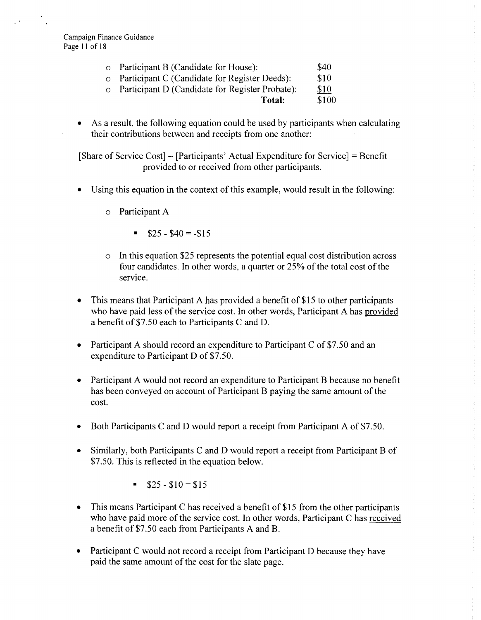Campaign Finance Guidance Page 11 of 18

| $\circ$ Participant B (Candidate for House):            | <b>\$40</b>  |
|---------------------------------------------------------|--------------|
| $\circ$ Participant C (Candidate for Register Deeds):   | <b>S10</b>   |
| $\circ$ Derticipent D (Candidate for Degister Probate). | <b>C</b> 1 0 |

- $\circ$  Participant D (Candidate for Register Probate):  $\frac{$10}{10}$ **Total:** \$100
- As a result, the following equation could be used by participants when calculating their contributions between and receipts from one another:

[Share of Service Cost]- [Participants' Actual Expenditure for Service]= Benefit provided to or received from other participants.

- Using this equation in the context of this example, would result in the following:
	- o Participant A
		- $$25 $40 = -15$
	- In this equation \$25 represents the potential equal cost distribution across four candidates. In other words, a quarter or  $25%$  of the total cost of the service.
- This means that Participant A has provided a benefit of \$15 to other participants who have paid less of the service cost. In other words, Participant A has provided a benefit of \$7.50 each to Participants C and D.
- Participant A should record an expenditure to Participant C of \$7 .50 and an expenditure to Participant D of \$7.50.
- Participant A would not record an expenditure to Participant B because no benefit has been conveyed on account of Participant B paying the same amount of the cost.
- Both Participants C and D would report a receipt from Participant A of \$7.50.
- Similarly, both Participants C and D would report a receipt from Participant B of \$7.50. This is reflected in the equation below.
	- $\$25 \$10 = \$15$
- This means Participant C has received a benefit of \$15 from the other participants who have paid more of the service cost. In other words, Participant C has received a benefit of \$7.50 each from Participants A and B.
- Participant C would not record a receipt from Participant D because they have paid the same amount of the cost for the slate page.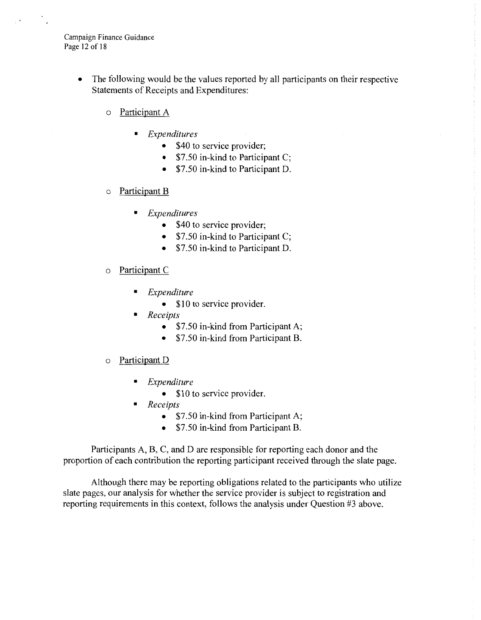Campaign Finance Guidance Page 12 of 18

- The following would be the values reported by all participants on their respective Statements of Receipts and Expenditures:
	- o Participant A
		- *Expenditures* 
			- \$40 to service provider;
			- \$7.50 in-kind to Participant C;
			- \$7.50 in-kind to Participant D.
	- o Participant B
		- *Expenditures* 
			- \$40 to service provider;
			- \$7.50 in-kind to Participant C;
			- \$7.50 in-kind to Participant D.
	- o Participant C
		- *Expenditure* 
			- \$10 to service provider.
		- *Receipts* 
			- \$7.50 in-kind from Participant A;
			- \$7.50 in-kind from Participant B.
	- o Participant D
		- *Expenditure* 
			- \$10 to service provider.
		- *Receipts* 
			- \$7.50 in-kind from Participant A;
			- \$7.50 in-kind from Participant B.

Participants A, B, C, and D are responsible for reporting each donor and the proportion of each contribution the reporting participant received through the slate page.

Although there may be reporting obligations related to the participants who utilize slate pages, our analysis for whether the service provider is subject to registration and reporting requirements in this context, follows the analysis under Question #3 above.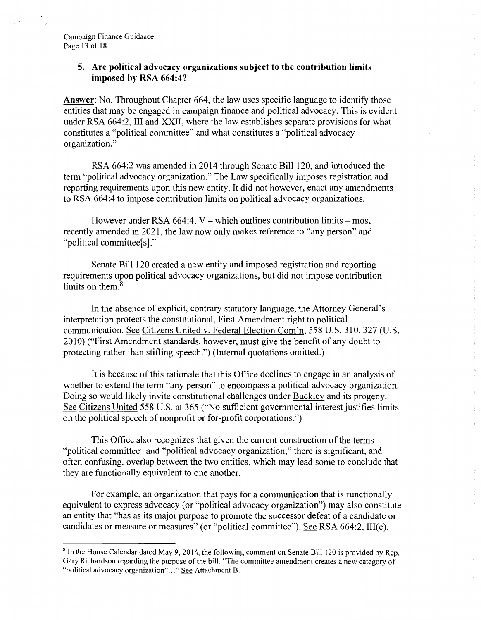### **5. Are political advocacy organizations subject to the contribution limits imposed by RSA 664:4?**

**Answer:** No. Throughout Chapter 664, the law uses specific language to identify those entities that may be engaged in campaign finance and political advocacy. This is evident under RSA 664:2, III and XXII, where the law establishes separate provisions for what constitutes a "political committee" and what constitutes a "political advocacy organization."

RSA 664:2 was amended in 2014 through Senate Bill 120, and introduced the term "political advocacy organization." The Law specifically imposes registration and reporting requirements upon this new entity. It did not however, enact any amendments to RSA 664:4 to impose contribution limits on political advocacy organizations.

However under RSA  $664:4$ , V – which outlines contribution limits – most recently amended in 2021, the law now only makes reference to "any person" and "political committee[s]."

Senate Bill 120 created a new entity and imposed registration and reporting requirements upon political advocacy organizations, but did not impose contribution limits on them.<sup>8</sup>

In the absence of explicit, contrary statutory language, the Attorney General's interpretation protects the constitutional, First Amendment right to political communication. See Citizens United v. Federal Election Com'n, 558 U.S. 310, 327 (U.S. 2010) ("First Amendment standards, however, must give the benefit of any doubt to protecting rather than stifling speech.") (Internal quotations omitted.)

It is because of this rationale that this Office declines to engage in an analysis of whether to extend the term "any person" to encompass a political advocacy organization. Doing so would likely invite constitutional challenges under Buckley and its progeny. See Citizens United 558 U.S. at 365 ("No sufficient governmental interest justifies limits on the political speech of nonprofit or for-profit corporations.")

This Office also recognizes that given the current construction of the terms "political committee" and "political advocacy organization," there is significant, and often confusing, overlap between the two entities, which may lead some to conclude that they are functionally equivalent to one another.

For example, an organization that pays for a communication that is functionally equivalent to express advocacy (or "political advocacy organization") may also constitute an entity that "has as its major purpose to promote the successor defeat of a candidate or candidates or measure or measures" (or "political committee"). See RSA 664:2, III(c).

<sup>8</sup>In the House Calendar dated May 9, 2014, the following comment on Senate Bill 120 is provided by Rep. Gary Richardson regarding the purpose of the bill: "The committee amendment creates a new category of "political advocacy organization"..." See Attachment B.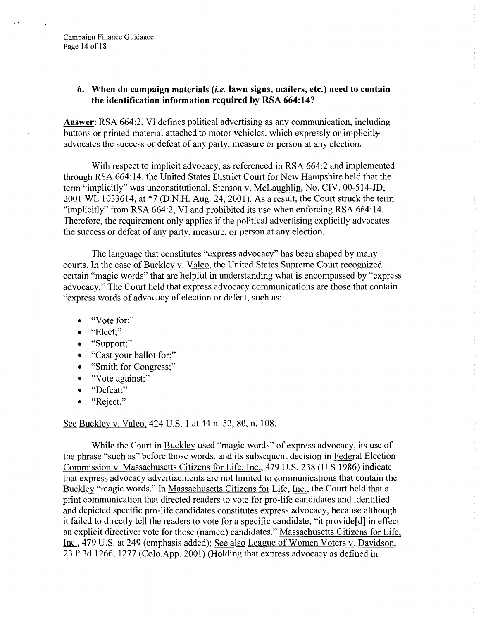## **6. When do campaign materials** (i.e. **lawn signs, mailers, etc.) need to contain the identification information required by RSA 664:14?**

**Answer:** RSA 664:2, VI defines political advertising as any communication, including buttons or printed material attached to motor vehicles, which expressly or implicitly advocates the success or defeat of any party, measure or person at any election.

With respect to implicit advocacy, as referenced in RSA 664:2 and implemented through RSA 664:14, the United States District Court for New Hampshire held that the term "implicitly" was unconstitutional. Stenson v. McLaughlin, No. CIV. 00-514-JD, 2001 WL 1033614, at \*7 (D.N.H. Aug. 24, 2001). As a result, the Court struck the term "implicitly" from RSA 664:2, VI and prohibited its use when enforcing RSA 664:14. Therefore, the requirement only applies if the political advertising explicitly advocates the success or defeat of any party, measure, or person at any election.

The language that constitutes "express advocacy" has been shaped by many courts. In the case of Buckley v. Valeo, the United States Supreme Court recognized certain "magic words" that are helpful in understanding what is encompassed by "express advocacy." The Court held that express advocacy communications are those that contain "express words of advocacy of election or defeat, such as:

- "Vote for;"
- "Elect;"
- "Support;"
- "Cast your ballot for;"
- "Smith for Congress;"
- "Vote against;"
- "Defeat;"
- "Reject."

See Buckley v. Valeo, 424 U.S. 1 at 44 n. 52, 80, n. 108.

While the Court in Buckley used "magic words" of express advocacy, its use of the phrase "such as" before those words, and its subsequent decision in Federal Election Commission v. Massachusetts Citizens for Life, Inc., 479 U.S. 238 (U.S 1986) indicate that express advocacy advertisements are not limited to communications that contain the Buckley "magic words." In Massachusetts Citizens for Life, Inc., the Court held that a print communication that directed readers to vote for pro-life candidates and identified and depicted specific pro-life candidates constitutes express advocacy, because although it failed to directly tell the readers to vote for a specific candidate, "it provide[d] in effect an explicit directive: vote for those (named) candidates." Massachusetts Citizens for Life, Inc., 479 U.S. at 249 (emphasis added); See also League of Women Voters v. Davidson, 23 P.3d 1266, 1277 (Colo.App. 2001) (Holding that express advocacy as defined in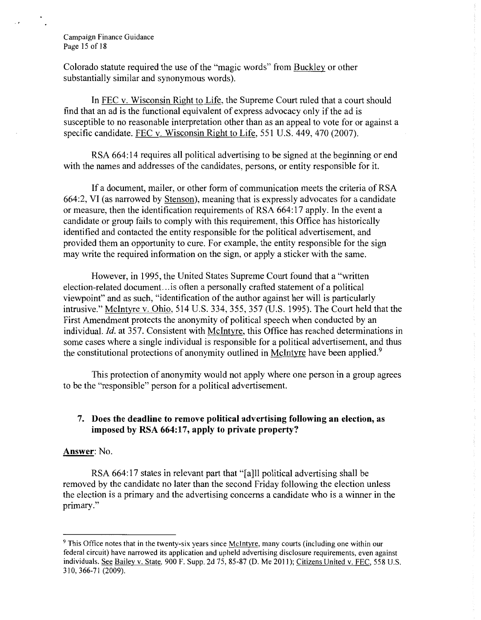#### Campaign Finance Guidance Page 15 of 18

Colorado statute required the use of the "magic words" from Buckley or other substantially similar and synonymous words).

In FEC v. Wisconsin Right to Life, the Supreme Court ruled that a court should find that an ad is the functional equivalent of express advocacy only if the ad is susceptible to no reasonable interpretation other than as an appeal to vote for or against a specific candidate. FEC v. Wisconsin Right to Life, 551 U.S. 449,470 (2007).

RSA 664: 14 requires all political advertising to be signed at the beginning or end with the names and addresses of the candidates, persons, or entity responsible for it.

If a document, mailer, or other form of communication meets the criteria of RSA 664:2, VI (as narrowed by Stenson), meaning that is expressly advocates for a candidate or measure, then the identification requirements of RSA 664: 17 apply. In the event a candidate or group fails to comply with this requirement, this Office has historically identified and contacted the entity responsible for the political advertisement, and provided them an opportunity to cure. For example, the entity responsible for the sign may write the required information on the sign, or apply a sticker with the same.

However, in 1995, the United States Supreme Court found that a "written election-related document. .. is often a personally crafted statement of a political viewpoint" and as such, "identification of the author against her will is particularly intrusive." McIntyre v. Ohio, 514 U.S. 334, 355, 357 (U.S. 1995). The Court held that the First Amendment protects the anonymity of political speech when conducted by an individual. Id. at 357. Consistent with McIntyre, this Office has reached determinations in some cases where a single individual is responsible for a political advertisement, and thus the constitutional protections of anonymity outlined in McIntyre have been applied.<sup>9</sup>

This protection of anonymity would not apply where one person in a group agrees to be the "responsible" person for a political advertisement.

## **7. Does the deadline to remove political advertising following an election, as imposed by RSA 664:17, apply to private property?**

### **Answer:** No.

RSA 664:17 states in relevant part that "[a] 1] political advertising shall be removed by the candidate no later than the second Friday following the election unless the election is a primary and the advertising concerns a candidate who is a winner in the primary."

<sup>9</sup>This Office notes that in the twenty-six years since McIntyre, many courts (including one within our federal circuit) have narrowed its application and upheld advertising disclosure requirements, even against individuals. See Bailey v. State. 900 F. Supp. 2d 75, 85-87 (D. Me 2011); Citizens United v. FEC, 558 U.S. 3 I 0, 366-7 I (2009).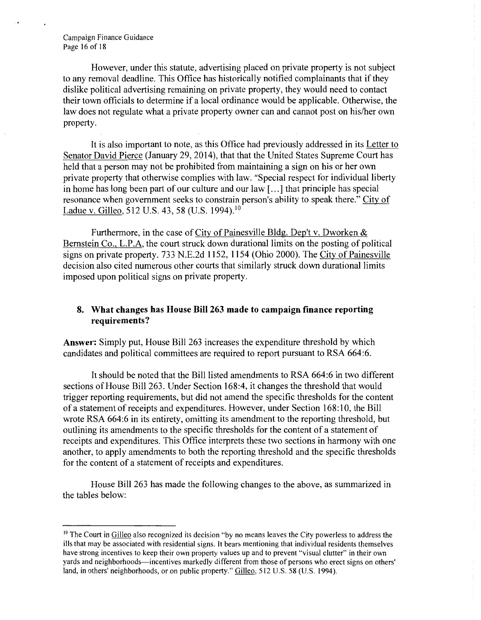Campaign Finance Guidance Page 16 of 18

However, under this statute, advertising placed on private property is not subject to any removal deadline. This Office has historically notified complainants that if they dislike political advertising remaining on private property, they would need to contact their town officials to determine if a local ordinance would be applicable. Otherwise, the law does not regulate what a private property owner can and cannot post on his/her own property.

It is also important to note, as this Office had previously addressed in its Letter to Senator David Pierce (January 29, 2014), that that the United States Supreme Court has held that a person may not be prohibited from maintaining a sign on his or her own private property that otherwise complies with law. "Special respect for individual liberty in home has long been part of our culture and our law [ ... ] that principle has special resonance when government seeks to constrain person's ability to speak there." City of Ladue v. Gilleo, 512 U.S. 43, 58 (U.S. [1994\).](https://1994).10)<sup>10</sup>

Furthermore, in the case of City of Painesville Bldg. Dep't v. Dworken & Bernstein Co., L.P.A, the court struck down durational limits on the posting of political signs on private property. 733 N.E.2d 1152, 1154 (Ohio 2000). The City of Painesville decision also cited numerous other courts that similarly struck down durational limits imposed upon political signs on private property.

## **8. What changes has House Bill 263 made to campaign finance reporting requirements?**

**Answer:** Simply put, House Bill 263 increases the expenditure threshold by which candidates and political committees are required to report pursuant to RSA 664:6.

It should be noted that the Bill listed amendments to RSA 664:6 in two different sections of House Bill 263. Under Section 168:4, it changes the threshold that would trigger reporting requirements, but did not amend the specific thresholds for the content of a statement of receipts and expenditures. However, under Section 168:10, the Bill wrote RSA 664:6 in its entirety, omitting its amendment to the reporting threshold, but outlining its amendments to the specific thresholds for the content of a statement of receipts and expenditures. This Office interprets these two sections in harmony with one another, to apply amendments to both the reporting threshold and the specific thresholds for the content of a statement of receipts and expenditures.

House Bill 263 has made the following changes to the above, as summarized in the tables below:

<sup>&</sup>lt;sup>10</sup> The Court in Gilleo also recognized its decision "by no means leaves the City powerless to address the ills that may be associated with residential signs. It bears mentioning that individual residents themselves have strong incentives to keep their own property values up and to prevent "visual clutter" in their own yards and neighborhoods—incentives markedly different from those of persons who erect signs on others' land, in others' neighborhoods, or on public property." Gilleo, 512 U.S. 58 (U.S. 1994).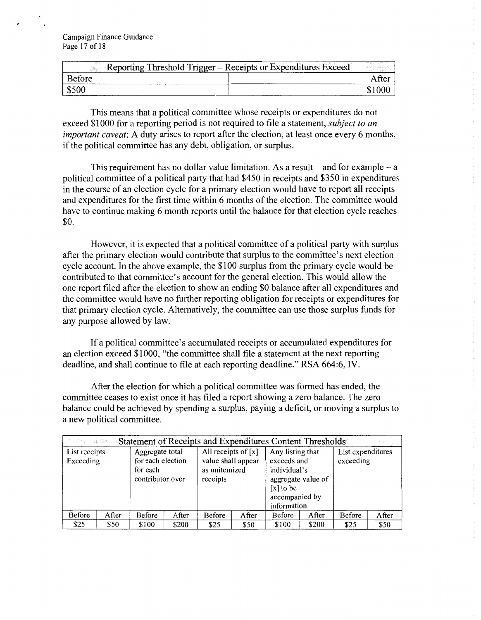Campaign Finance Guidance Page 17 of 18

| 100.5<br>Reporting Threshold Trigger - Receipts or Expenditures Exceed<br>tall |       |  |  |
|--------------------------------------------------------------------------------|-------|--|--|
| Before                                                                         | After |  |  |
|                                                                                |       |  |  |

This means that a political committee whose receipts or expenditures do not exceed \$1000 for a reporting period is not required to file a statement, *subject to an important caveat:* A duty arises to report after the election, at least once every 6 months, if the political committee has any debt, obligation, or surplus.

This requirement has no dollar value limitation. As a result  $-$  and for example  $-$  a political committee of a political party that had \$450 in receipts and \$350 in expenditures in the course of an election cycle for a primary election would have to report all receipts and expenditures for the first time within 6 months of the election. The committee would have to continue making 6 month reports until the balance for that election cycle reaches \$0.

However, it is expected that a political committee of a political party with surplus after the primary election would contribute that surplus to the committee's next election cycle account. In the above example, the \$100 surplus from the primary cycle would be contributed to that committee's account for the general election. This would allow the one report filed after the election to show an ending \$0 balance after all expenditures and the committee would have no further reporting obligation for receipts or expenditures for that primary election cycle. Alternatively, the committee can use those surplus funds for any purpose allowed by law.

If a political committee's accumulated receipts or accumulated expenditures for an election exceed \$1000, "the committee shall file a statement at the next reporting deadline, and shall continue to file at each reporting deadline." RSA 664:6, IV.

After the election for which a political committee was formed has ended, the committee ceases to exist once it has filed a report showing a zero balance. The zero balance could be achieved by spending a surplus, paying a deficit, or moving a surplus to a new political committee.

| Statement of Receipts and Expenditures Content Thresholds |       |                                                                      |       |                                                                          |       |                                                                                                 |                    |                                |       |
|-----------------------------------------------------------|-------|----------------------------------------------------------------------|-------|--------------------------------------------------------------------------|-------|-------------------------------------------------------------------------------------------------|--------------------|--------------------------------|-------|
| List receipts<br>Exceeding                                |       | Aggregate total<br>for each election<br>for each<br>contributor over |       | All receipts of $[x]$<br>value shall appear<br>as unitemized<br>receipts |       | Any listing that<br>exceeds and<br>individual's<br>$[x]$ to be<br>accompanied by<br>information | aggregate value of | List expenditures<br>exceeding |       |
| Before                                                    | After | Before                                                               | After | Before                                                                   | After | <b>Before</b>                                                                                   | After              | Before                         | After |
| \$25                                                      | \$50  | \$100                                                                | \$200 | \$25                                                                     | \$50  | \$100                                                                                           | \$200              | \$25                           | \$50  |